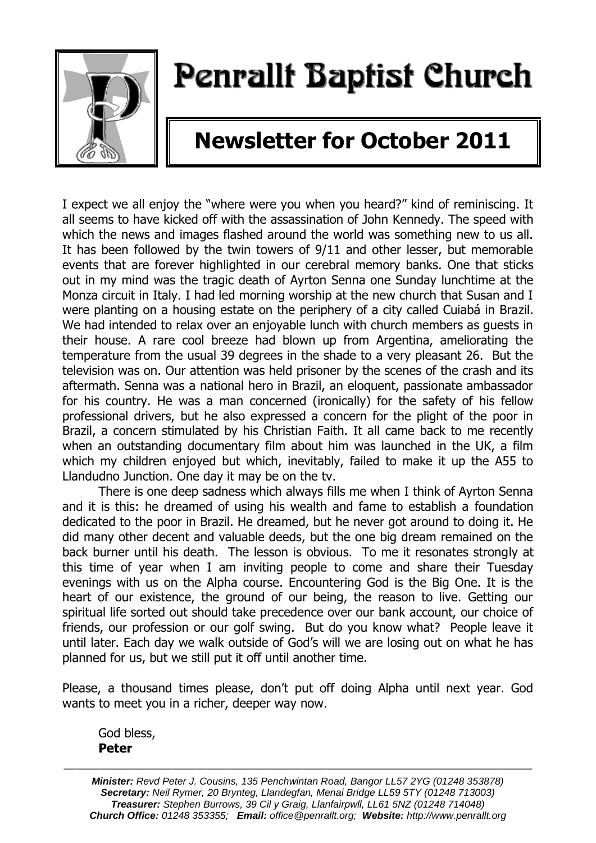

# Penrallt Baptist Church

## **Newsletter for October 2011**

I expect we all enjoy the "where were you when you heard?" kind of reminiscing. It all seems to have kicked off with the assassination of John Kennedy. The speed with which the news and images flashed around the world was something new to us all. It has been followed by the twin towers of 9/11 and other lesser, but memorable events that are forever highlighted in our cerebral memory banks. One that sticks out in my mind was the tragic death of Ayrton Senna one Sunday lunchtime at the Monza circuit in Italy. I had led morning worship at the new church that Susan and I were planting on a housing estate on the periphery of a city called Cuiabá in Brazil. We had intended to relax over an enjoyable lunch with church members as guests in their house. A rare cool breeze had blown up from Argentina, ameliorating the temperature from the usual 39 degrees in the shade to a very pleasant 26. But the television was on. Our attention was held prisoner by the scenes of the crash and its aftermath. Senna was a national hero in Brazil, an eloquent, passionate ambassador for his country. He was a man concerned (ironically) for the safety of his fellow professional drivers, but he also expressed a concern for the plight of the poor in Brazil, a concern stimulated by his Christian Faith. It all came back to me recently when an outstanding documentary film about him was launched in the UK, a film which my children enjoyed but which, inevitably, failed to make it up the A55 to Llandudno Junction. One day it may be on the tv.

There is one deep sadness which always fills me when I think of Ayrton Senna and it is this: he dreamed of using his wealth and fame to establish a foundation dedicated to the poor in Brazil. He dreamed, but he never got around to doing it. He did many other decent and valuable deeds, but the one big dream remained on the back burner until his death. The lesson is obvious. To me it resonates strongly at this time of year when I am inviting people to come and share their Tuesday evenings with us on the Alpha course. Encountering God is the Big One. It is the heart of our existence, the ground of our being, the reason to live. Getting our spiritual life sorted out should take precedence over our bank account, our choice of friends, our profession or our golf swing. But do you know what? People leave it until later. Each day we walk outside of God's will we are losing out on what he has planned for us, but we still put it off until another time.

Please, a thousand times please, don't put off doing Alpha until next year. God wants to meet you in a richer, deeper way now.

God bless, **Peter**

———————————————————————————————————————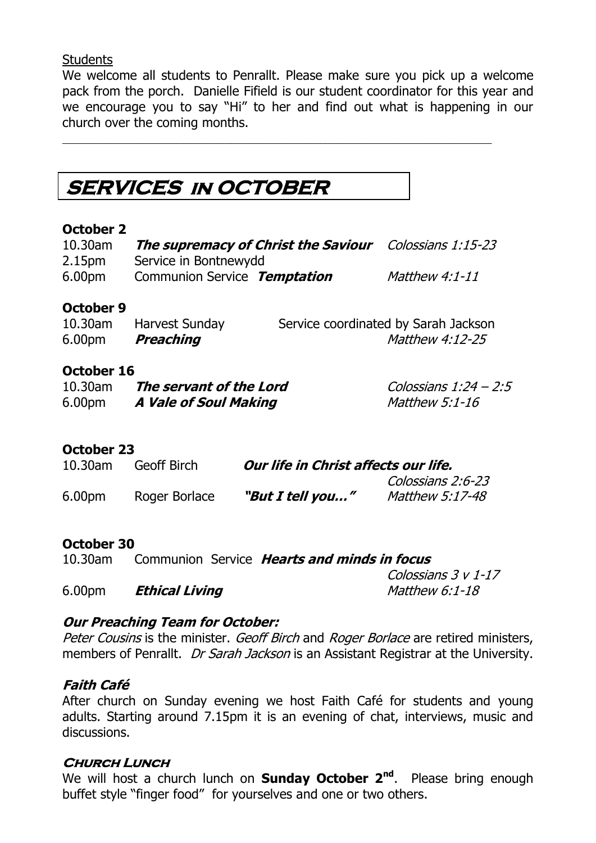#### **Students**

We welcome all students to Penrallt. Please make sure you pick up a welcome pack from the porch. Danielle Fifield is our student coordinator for this year and we encourage you to say "Hi" to her and find out what is happening in our church over the coming months.

**SERVICES in OCTOBER** 

#### **October 2**

| $10.30$ am<br>2.15 <sub>pm</sub> | <b>The supremacy of Christ the Saviour</b> Colossians 1:15-23<br>Service in Bontnewydd |  |                                      |
|----------------------------------|----------------------------------------------------------------------------------------|--|--------------------------------------|
| 6.00pm                           | Communion Service Temptation                                                           |  | <i>Matthew 4:1-11</i>                |
| October 9<br>$10.30$ am          | <b>Harvest Sundav</b>                                                                  |  | Service coordinated by Sarah Jackson |

| 6.00pm | Preaching | Matthew 4:12-25 |  |  |
|--------|-----------|-----------------|--|--|
|        |           |                 |  |  |

#### **October 16**

| $10.30$ am | The servant of the Lord | Colossians 1:24 - 2:5 |
|------------|-------------------------|-----------------------|
| 6.00pm     | A Vale of Soul Making   | Matthew 5:1-16        |

#### **October 23**

| $10.30$ am         | Geoff Birch   | Our life in Christ affects our life. |                        |
|--------------------|---------------|--------------------------------------|------------------------|
|                    |               |                                      | Colossians 2:6-23      |
| 6.00 <sub>pm</sub> | Roger Borlace | "But I tell you"                     | <i>Matthew 5:17-48</i> |

#### **October 30**

| $10.30$ am         |                       | Communion Service <b>Hearts and minds in focus</b> |
|--------------------|-----------------------|----------------------------------------------------|
|                    |                       | Colossians 3 v 1-17                                |
| 6.00 <sub>pm</sub> | <b>Ethical Living</b> | <i>Matthew 6:1-18</i>                              |

**Our Preaching Team for October:**

Peter Cousins is the minister. Geoff Birch and Roger Borlace are retired ministers, members of Penrallt. *Dr Sarah Jackson* is an Assistant Registrar at the University.

#### **Faith Café**

After church on Sunday evening we host Faith Café for students and young adults. Starting around 7.15pm it is an evening of chat, interviews, music and discussions.

#### **Church Lunch**

We will host a church lunch on **Sunday October 2nd**. Please bring enough buffet style "finger food" for yourselves and one or two others.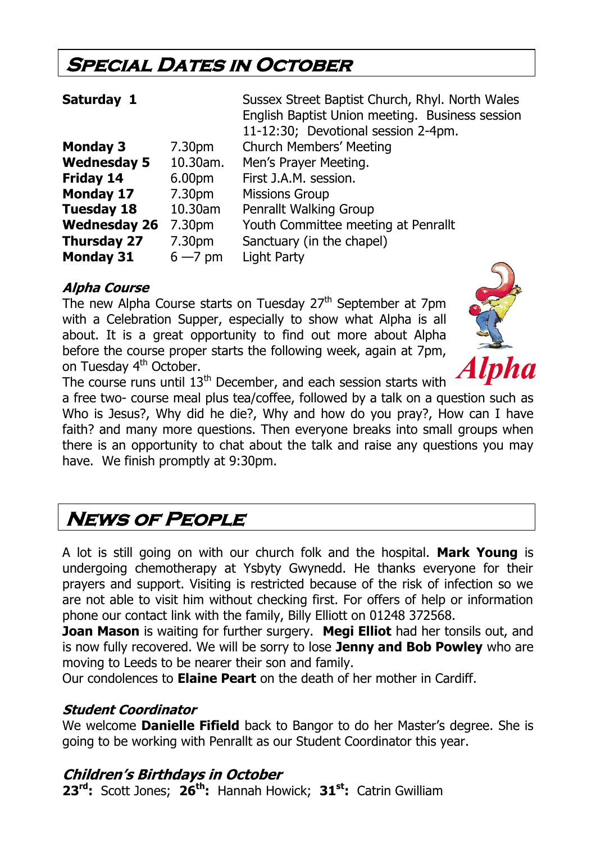## **Special Dates in October**

| Saturday 1          |                    | Sussex Street Baptist Church, Rhyl. North Wales |  |
|---------------------|--------------------|-------------------------------------------------|--|
|                     |                    | English Baptist Union meeting. Business session |  |
|                     |                    | 11-12:30; Devotional session 2-4pm.             |  |
| <b>Monday 3</b>     | 7.30 <sub>pm</sub> | <b>Church Members' Meeting</b>                  |  |
| <b>Wednesday 5</b>  | 10.30am.           | Men's Prayer Meeting.                           |  |
| Friday 14           | 6.00pm             | First J.A.M. session.                           |  |
| <b>Monday 17</b>    | 7.30pm             | <b>Missions Group</b>                           |  |
| <b>Tuesday 18</b>   | 10.30am            | Penrallt Walking Group                          |  |
| <b>Wednesday 26</b> | 7.30pm             | Youth Committee meeting at Penrallt             |  |
| <b>Thursday 27</b>  | 7.30pm             | Sanctuary (in the chapel)                       |  |
| <b>Monday 31</b>    | $6 - 7$ pm         | <b>Light Party</b>                              |  |

#### **Alpha Course**

The new Alpha Course starts on Tuesday 27<sup>th</sup> September at 7pm with a Celebration Supper, especially to show what Alpha is all about. It is a great opportunity to find out more about Alpha before the course proper starts the following week, again at 7pm, on Tuesday 4<sup>th</sup> October.



The course runs until  $13<sup>th</sup>$  December, and each session starts with

a free two- course meal plus tea/coffee, followed by a talk on a question such as Who is Jesus?, Why did he die?, Why and how do you pray?, How can I have faith? and many more questions. Then everyone breaks into small groups when there is an opportunity to chat about the talk and raise any questions you may have. We finish promptly at 9:30pm.

## **News of People**

A lot is still going on with our church folk and the hospital. **Mark Young** is undergoing chemotherapy at Ysbyty Gwynedd. He thanks everyone for their prayers and support. Visiting is restricted because of the risk of infection so we are not able to visit him without checking first. For offers of help or information phone our contact link with the family, Billy Elliott on 01248 372568.

**Joan Mason** is waiting for further surgery. **Megi Elliot** had her tonsils out, and is now fully recovered. We will be sorry to lose **Jenny and Bob Powley** who are moving to Leeds to be nearer their son and family.

Our condolences to **Elaine Peart** on the death of her mother in Cardiff.

#### **Student Coordinator**

We welcome **Danielle Fifield** back to Bangor to do her Master's degree. She is going to be working with Penrallt as our Student Coordinator this year.

### **Children's Birthdays in October**

**23rd:** Scott Jones; **26th:** Hannah Howick; **31st:** Catrin Gwilliam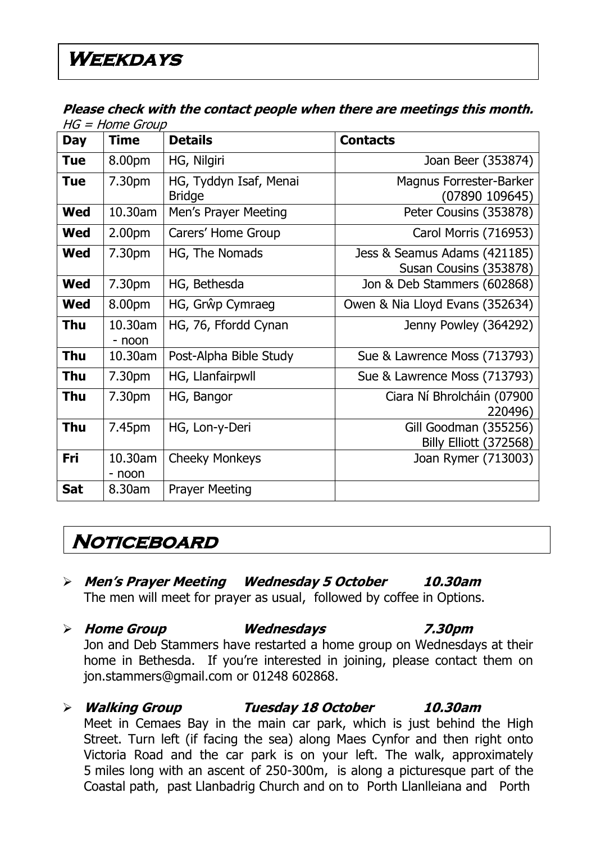#### **Please check with the contact people when there are meetings this month.**   $HG = Home GrouD$

| <b>Day</b> | שטיוט – ווטוויר – טו ו<br><b>Time</b> | <b>Details</b>                          | <b>Contacts</b>                                        |
|------------|---------------------------------------|-----------------------------------------|--------------------------------------------------------|
| <b>Tue</b> | 8.00pm                                | HG, Nilgiri                             | Joan Beer (353874)                                     |
| <b>Tue</b> | 7.30pm                                | HG, Tyddyn Isaf, Menai<br><b>Bridge</b> | Magnus Forrester-Barker<br>(07890 109645)              |
| <b>Wed</b> | 10.30am                               | Men's Prayer Meeting                    | Peter Cousins (353878)                                 |
| <b>Wed</b> | 2.00 <sub>pm</sub>                    | Carers' Home Group                      | Carol Morris (716953)                                  |
| <b>Wed</b> | 7.30pm                                | HG, The Nomads                          | Jess & Seamus Adams (421185)<br>Susan Cousins (353878) |
| <b>Wed</b> | 7.30pm                                | HG, Bethesda                            | Jon & Deb Stammers (602868)                            |
| <b>Wed</b> | 8.00pm                                | HG, Grŵp Cymraeg                        | Owen & Nia Lloyd Evans (352634)                        |
| Thu        | 10.30am<br>- noon                     | HG, 76, Ffordd Cynan                    | Jenny Powley (364292)                                  |
| <b>Thu</b> | 10.30am                               | Post-Alpha Bible Study                  | Sue & Lawrence Moss (713793)                           |
| <b>Thu</b> | 7.30pm                                | HG, Llanfairpwll                        | Sue & Lawrence Moss (713793)                           |
| <b>Thu</b> | 7.30pm                                | HG, Bangor                              | Ciara Ní Bhrolcháin (07900<br>220496)                  |
| <b>Thu</b> | 7.45pm                                | HG, Lon-y-Deri                          | Gill Goodman (355256)<br>Billy Elliott (372568)        |
| Fri        | 10.30am<br>- noon                     | <b>Cheeky Monkeys</b>                   | Joan Rymer (713003)                                    |
| <b>Sat</b> | 8.30am                                | <b>Prayer Meeting</b>                   |                                                        |

## **Noticeboard**

- **Men's Prayer Meeting Wednesday 5 October 10.30am** The men will meet for prayer as usual, followed by coffee in Options.
- **Home Group Wednesdays 7.30pm** Jon and Deb Stammers have restarted a home group on Wednesdays at their home in Bethesda. If you're interested in joining, please contact them on [jon.stammers@gmail.com](mailto:jon.stammers@gmail.com) or 01248 602868.
- **Walking Group Tuesday 18 October 10.30am** Meet in Cemaes Bay in the main car park, which is just behind the High Street. Turn left (if facing the sea) along Maes Cynfor and then right onto Victoria Road and the car park is on your left. The walk, approximately 5 miles long with an ascent of 250-300m, is along a picturesque part of the Coastal path, past Llanbadrig Church and on to Porth Llanlleiana and Porth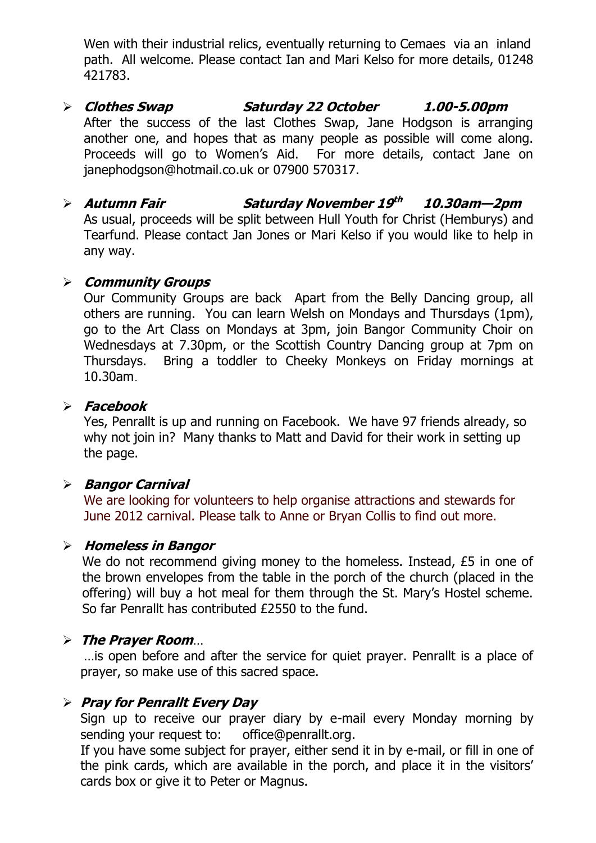Wen with their industrial relics, eventually returning to Cemaes via an inland path. All welcome. Please contact Ian and Mari Kelso for more details, 01248 421783.

- **Clothes Swap Saturday 22 October 1.00-5.00pm** After the success of the last Clothes Swap, Jane Hodgson is arranging another one, and hopes that as many people as possible will come along. Proceeds will go to Women's Aid. For more details, contact Jane on [janephodgson@hotmail.co.uk](mailto:janephodgson@hotmail.co.uk) or 07900 570317.
- **Autumn Fair Saturday November 19 th 10.30am—2pm** As usual, proceeds will be split between Hull Youth for Christ (Hemburys) and Tearfund. Please contact Jan Jones or Mari Kelso if you would like to help in any way.

#### **Community Groups**

Our Community Groups are back Apart from the Belly Dancing group, all others are running. You can learn Welsh on Mondays and Thursdays (1pm), go to the Art Class on Mondays at 3pm, join Bangor Community Choir on Wednesdays at 7.30pm, or the Scottish Country Dancing group at 7pm on Thursdays. Bring a toddler to Cheeky Monkeys on Friday mornings at 10.30am.

#### **Facebook**

Yes, Penrallt is up and running on Facebook. We have 97 friends already, so why not join in? Many thanks to Matt and David for their work in setting up the page.

#### **Bangor Carnival**

We are looking for volunteers to help organise attractions and stewards for June 2012 carnival. Please talk to Anne or Bryan Collis to find out more.

#### **Homeless in Bangor**

We do not recommend giving money to the homeless. Instead, £5 in one of the brown envelopes from the table in the porch of the church (placed in the offering) will buy a hot meal for them through the St. Mary's Hostel scheme. So far Penrallt has contributed £2550 to the fund.

#### **The Prayer Room**…

…is open before and after the service for quiet prayer. Penrallt is a place of prayer, so make use of this sacred space.

#### **Pray for Penrallt Every Day**

Sign up to receive our prayer diary by e-mail every Monday morning by sending your request to: [office@penrallt.org.](mailto:office@penrallt.org)

If you have some subject for prayer, either send it in by e-mail, or fill in one of the pink cards, which are available in the porch, and place it in the visitors' cards box or give it to Peter or Magnus.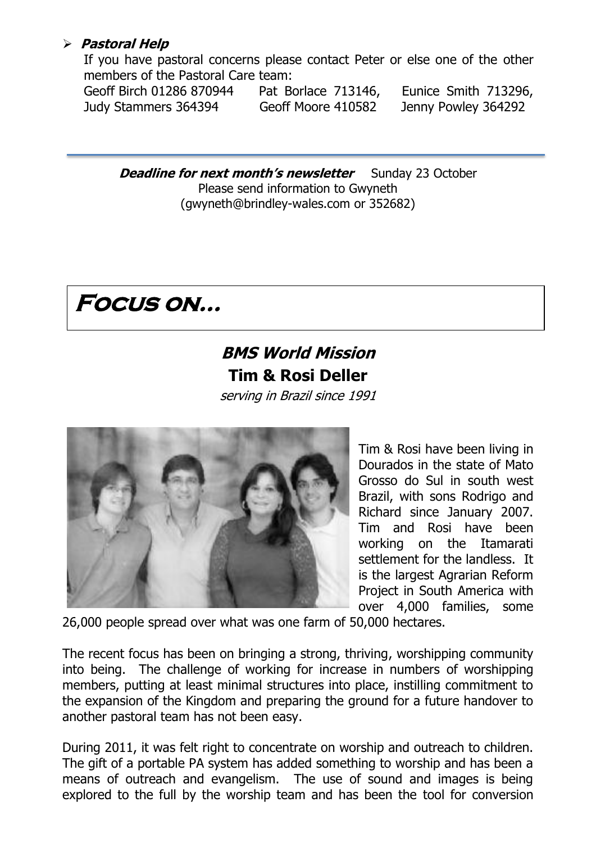#### **Pastoral Help**

If you have pastoral concerns please contact Peter or else one of the other members of the Pastoral Care team:

Geoff Birch 01286 870944 Pat Borlace 713146, Eunice Smith 713296, Judy Stammers 364394 Geoff Moore 410582 Jenny Powley 364292

**Deadline for next month's newsletter** Sunday 23 October Please send information to Gwyneth [\(gwyneth@brindley-wales.com](mailto:gwyneth@brindley-wales.com) or 352682)

## **Focus on…**

## **BMS World Mission Tim & Rosi Deller**

serving in Brazil since 1991



Tim & Rosi have been living in Dourados in the state of Mato Grosso do Sul in south west Brazil, with sons Rodrigo and Richard since January 2007. Tim and Rosi have been working on the Itamarati settlement for the landless. It is the largest Agrarian Reform Project in South America with over 4,000 families, some

26,000 people spread over what was one farm of 50,000 hectares.

The recent focus has been on bringing a strong, thriving, worshipping community into being. The challenge of working for increase in numbers of worshipping members, putting at least minimal structures into place, instilling commitment to the expansion of the Kingdom and preparing the ground for a future handover to another pastoral team has not been easy.

During 2011, it was felt right to concentrate on worship and outreach to children. The gift of a portable PA system has added something to worship and has been a means of outreach and evangelism. The use of sound and images is being explored to the full by the worship team and has been the tool for conversion